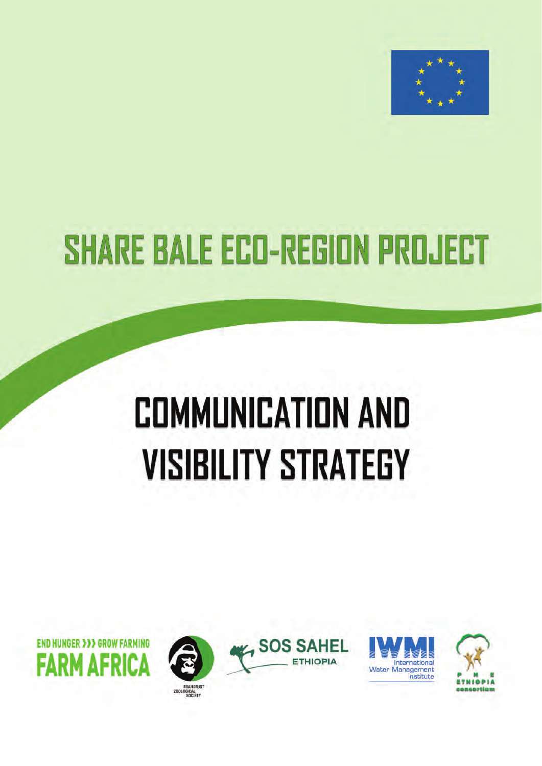

# **SHARE BALE ECO-REGION PROJECT**

# **COMMUNICATION AND VISIBILITY STRATEGY**









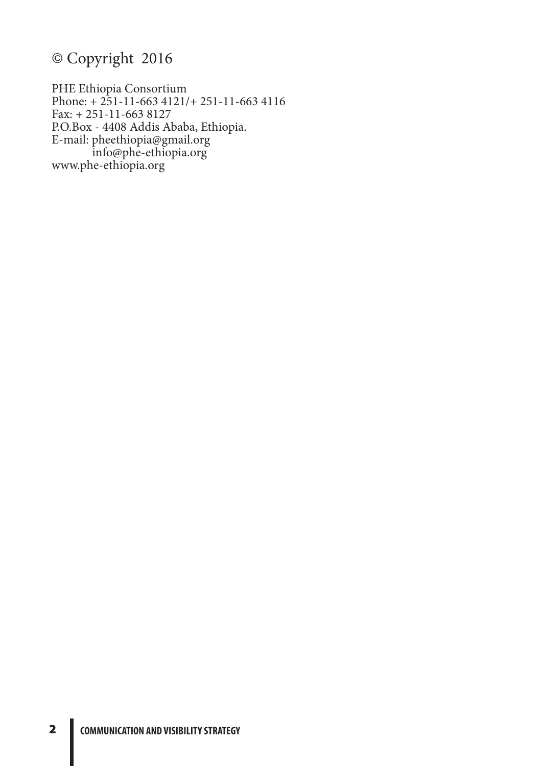# © Copyright 2016

PHE Ethiopia Consortium Phone: + 251-11-663 4121/+ 251-11-663 4116 Fax: + 251-11-663 8127 P.O.Box - 4408 Addis Ababa, Ethiopia. E-mail: pheethiopia@gmail.org info@phe-ethiopia.org www.phe-ethiopia.org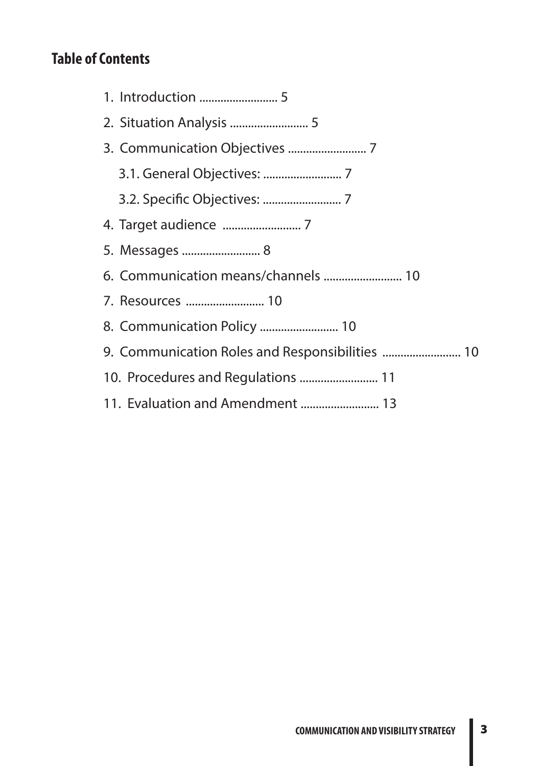# **Table of Contents**

| 5. Messages  8                                  |
|-------------------------------------------------|
| 6. Communication means/channels  10             |
| 7. Resources  10                                |
|                                                 |
| 9. Communication Roles and Responsibilities  10 |
|                                                 |
| 11. Evaluation and Amendment  13                |
|                                                 |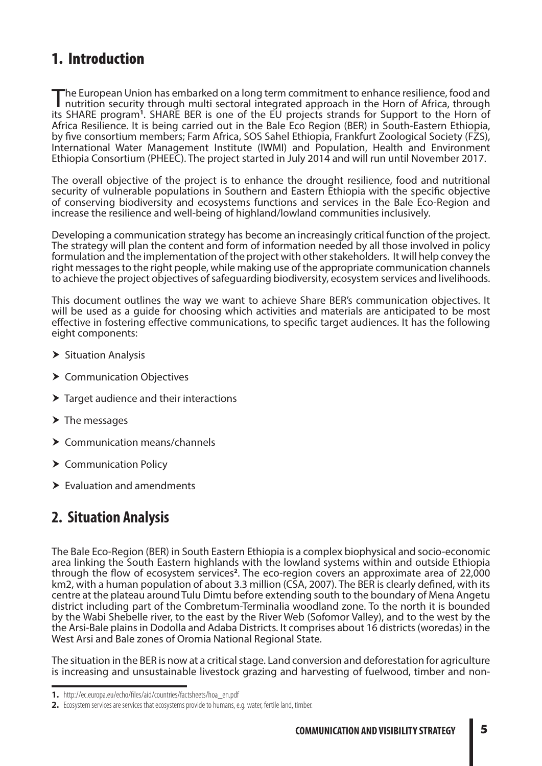# 1. Introduction

The European Union has embarked on a long term commitment to enhance resilience, food and<br>nutrition security through multi sectoral integrated approach in the Horn of Africa, through its SHARE program<sup>1</sup>. SHARE BER is one of the EU projects strands for Support to the Horn of Africa Resilience. It is being carried out in the Bale Eco Region (BER) in South-Eastern Ethiopia, by five consortium members; Farm Africa, SOS Sahel Ethiopia, Frankfurt Zoological Society (FZS), International Water Management Institute (IWMI) and Population, Health and Environment Ethiopia Consortium (PHEEC). The project started in July 2014 and will run until November 2017.

The overall objective of the project is to enhance the drought resilience, food and nutritional security of vulnerable populations in Southern and Eastern Ethiopia with the specific objective of conserving biodiversity and ecosystems functions and services in the Bale Eco-Region and increase the resilience and well-being of highland/lowland communities inclusively.

Developing a communication strategy has become an increasingly critical function of the project. The strategy will plan the content and form of information needed by all those involved in policy formulation and the implementation of the project with other stakeholders. It will help convey the right messages to the right people, while making use of the appropriate communication channels to achieve the project objectives of safeguarding biodiversity, ecosystem services and livelihoods.

This document outlines the way we want to achieve Share BER's communication objectives. It will be used as a guide for choosing which activities and materials are anticipated to be most effective in fostering effective communications, to specific target audiences. It has the following eight components:

- $\blacktriangleright$  Situation Analysis
- ▶ Communication Objectives
- $\blacktriangleright$  Target audience and their interactions
- $\blacktriangleright$  The messages
- Communication means/channels
- ▶ Communication Policy
- $\blacktriangleright$  Evaluation and amendments

## **2. Situation Analysis**

The Bale Eco-Region (BER) in South Eastern Ethiopia is a complex biophysical and socio-economic area linking the South Eastern highlands with the lowland systems within and outside Ethiopia through the flow of ecosystem services**<sup>2</sup>** . The eco-region covers an approximate area of 22,000 km2, with a human population of about 3.3 million (CSA, 2007). The BER is clearly defined, with its centre at the plateau around Tulu Dimtu before extending south to the boundary of Mena Angetu district including part of the Combretum-Terminalia woodland zone. To the north it is bounded by the Wabi Shebelle river, to the east by the River Web (Sofomor Valley), and to the west by the the Arsi-Bale plains in Dodolla and Adaba Districts. It comprises about 16 districts (woredas) in the West Arsi and Bale zones of Oromia National Regional State.

The situation in the BER is now at a critical stage. Land conversion and deforestation for agriculture is increasing and unsustainable livestock grazing and harvesting of fuelwood, timber and non-

**<sup>1.</sup>** http://ec.europa.eu/echo/files/aid/countries/factsheets/hoa\_en.pdf

**<sup>2.</sup>** Ecosystem services are services that ecosystems provide to humans, e.g. water, fertile land, timber.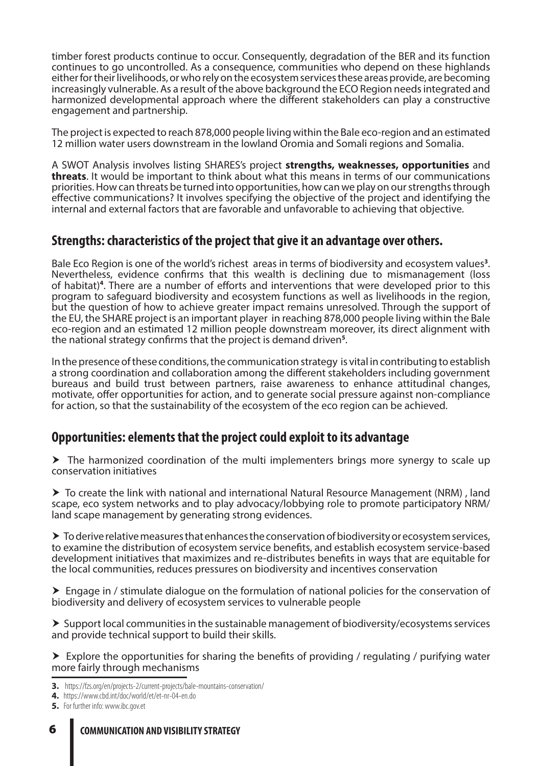timber forest products continue to occur. Consequently, degradation of the BER and its function continues to go uncontrolled. As a consequence, communities who depend on these highlands either for their livelihoods, or who rely on the ecosystem services these areas provide, are becoming increasingly vulnerable. As a result of the above background the ECO Region needs integrated and harmonized developmental approach where the different stakeholders can play a constructive engagement and partnership.

The project is expected to reach 878,000 people living within the Bale eco-region and an estimated 12 million water users downstream in the lowland Oromia and Somali regions and Somalia.

A SWOT Analysis involves listing SHARES's project **strengths, weaknesses, opportunities** and **threats**. It would be important to think about what this means in terms of our communications priorities. How can threats be turned into opportunities, how can we play on our strengths through effective communications? It involves specifying the objective of the project and identifying the internal and external factors that are favorable and unfavorable to achieving that objective.

## **Strengths: characteristics of the project that give it an advantage over others.**

Bale Eco Region is one of the world's richest areas in terms of biodiversity and ecosystem values**<sup>3</sup>** Nevertheless, evidence confirms that this wealth is declining due to mismanagement (loss of habitat)**<sup>4</sup>** . There are a number of efforts and interventions that were developed prior to this program to safeguard biodiversity and ecosystem functions as well as livelihoods in the region, but the question of how to achieve greater impact remains unresolved. Through the support of the EU, the SHARE project is an important player in reaching 878,000 people living within the Bale eco-region and an estimated 12 million people downstream moreover, its direct alignment with the national strategy confirms that the project is demand driven**<sup>5</sup>** .

In the presence of these conditions, the communication strategy is vital in contributing to establish a strong coordination and collaboration among the different stakeholders including government bureaus and build trust between partners, raise awareness to enhance attitudinal changes, motivate, offer opportunities for action, and to generate social pressure against non-compliance for action, so that the sustainability of the ecosystem of the eco region can be achieved.

## **Opportunities: elements that the project could exploit to its advantage**

 The harmonized coordination of the multi implementers brings more synergy to scale up conservation initiatives

 $\triangleright$  To create the link with national and international Natural Resource Management (NRM), land scape, eco system networks and to play advocacy/lobbying role to promote participatory NRM/ land scape management by generating strong evidences.

 $\triangleright$  To derive relative measures that enhances the conservation of biodiversity or ecosystem services, to examine the distribution of ecosystem service benefits, and establish ecosystem service-based development initiatives that maximizes and re-distributes benefits in ways that are equitable for the local communities, reduces pressures on biodiversity and incentives conservation

 Engage in / stimulate dialogue on the formulation of national policies for the conservation of biodiversity and delivery of ecosystem services to vulnerable people

 $\triangleright$  Support local communities in the sustainable management of biodiversity/ecosystems services and provide technical support to build their skills.

 $\triangleright$  Explore the opportunities for sharing the benefits of providing / regulating / purifying water more fairly through mechanisms

- **3.** https://fzs.org/en/projects-2/current-projects/bale-mountains-conservation/
- **4.** https://www.cbd.int/doc/world/et/et-nr-04-en.do

#### 6 **COMMUNICATION AND VISIBILITY STRATEGY**

**<sup>5.</sup>** For further info: www.ibc.gov.et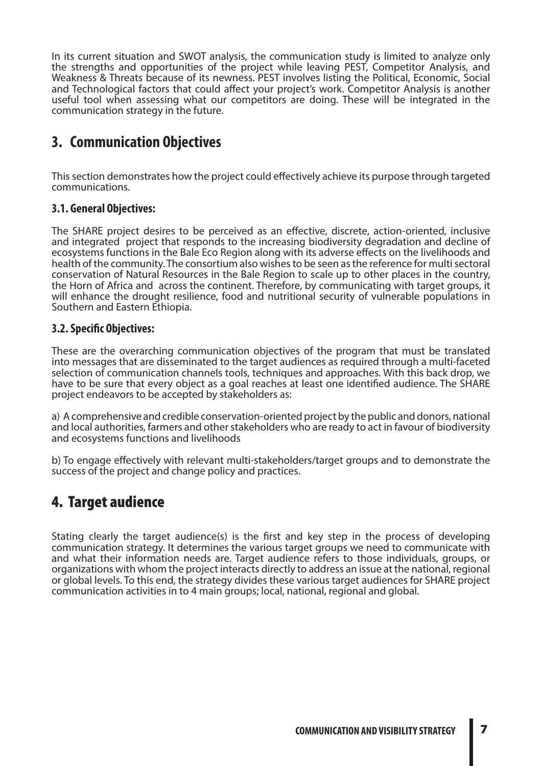In its current situation and SWOT analysis, the communication study is limited to analyze only the strengths and opportunities of the project while leaving PEST, Competitor Analysis, and Weakness & Threats because of its newness. PEST involves listing the Political, Economic, Social and Technological factors that could affect your project's work. Competitor Analysis is another useful tool when assessing what our competitors are doing. These will be integrated in the communication strategy in the future.

## **3. Communication Objectives**

This section demonstrates how the project could effectively achieve its purpose through targeted communications.

#### **3.1. General Objectives:**

The SHARE project desires to be perceived as an effective, discrete, action-oriented, inclusive and integrated project that responds to the increasing biodiversity degradation and decline of ecosystems functions in the Bale Eco Region along with its adverse effects on the livelihoods and health of the community. The consortium also wishes to be seen as the reference for multi sectoral conservation of Natural Resources in the Bale Region to scale up to other places in the country, the Horn of Africa and across the continent. Therefore, by communicating with target groups, it will enhance the drought resilience, food and nutritional security of vulnerable populations in Southern and Eastern Ethiopia.

#### **3.2. Specific Objectives:**

These are the overarching communication objectives of the program that must be translated into messages that are disseminated to the target audiences as required through a multi-faceted selection of communication channels tools, techniques and approaches. With this back drop, we have to be sure that every object as a goal reaches at least one identified audience. The SHARE project endeavors to be accepted by stakeholders as:

a) A comprehensive and credible conservation-oriented project by the public and donors, national and local authorities, farmers and other stakeholders who are ready to act in favour of biodiversity and ecosystems functions and livelihoods

b) To engage effectively with relevant multi-stakeholders/target groups and to demonstrate the success of the project and change policy and practices.

## 4. Target audience

Stating clearly the target audience(s) is the first and key step in the process of developing communication strategy. It determines the various target groups we need to communicate with and what their information needs are. Target audience refers to those individuals, groups, or organizations with whom the project interacts directly to address an issue at the national, regional or global levels. To this end, the strategy divides these various target audiences for SHARE project communication activities in to 4 main groups; local, national, regional and global.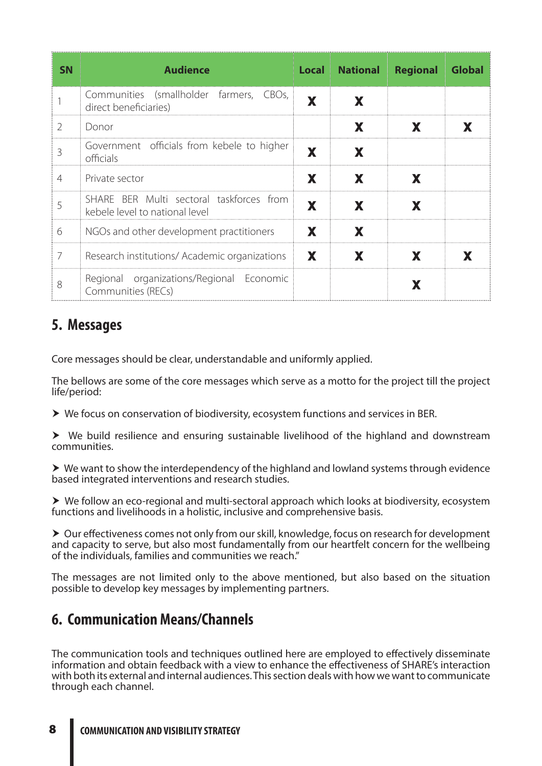| <b>SN</b> | <b>Audience</b>                                                            | <b>Local</b> | <b>National</b> | <b>Regional</b> | <b>Global</b> |
|-----------|----------------------------------------------------------------------------|--------------|-----------------|-----------------|---------------|
|           | Communities (smallholder farmers, CBOs,<br>direct beneficiaries)           | X            | X               |                 |               |
| 2         | Donor                                                                      |              | X               | X               | X             |
| 3         | Government officials from kebele to higher<br>officials                    | X            | X               |                 |               |
| 4         | Private sector                                                             | X            | X               | X               |               |
|           | SHARE BER Multi sectoral taskforces from<br>kebele level to national level | X            | X               | X               |               |
| 6         | NGOs and other development practitioners                                   | X            | X               |                 |               |
| 7         | Research institutions/ Academic organizations                              | X            | X               | X               |               |
| 8         | Regional organizations/Regional Economic<br>Communities (RECs)             |              |                 |                 |               |

## **5. Messages**

Core messages should be clear, understandable and uniformly applied.

The bellows are some of the core messages which serve as a motto for the project till the project life/period:

We focus on conservation of biodiversity, ecosystem functions and services in BER.

 We build resilience and ensuring sustainable livelihood of the highland and downstream communities.

 $\triangleright$  We want to show the interdependency of the highland and lowland systems through evidence based integrated interventions and research studies.

 We follow an eco-regional and multi-sectoral approach which looks at biodiversity, ecosystem functions and livelihoods in a holistic, inclusive and comprehensive basis.

▶ Our effectiveness comes not only from our skill, knowledge, focus on research for development and capacity to serve, but also most fundamentally from our heartfelt concern for the wellbeing of the individuals, families and communities we reach."

The messages are not limited only to the above mentioned, but also based on the situation possible to develop key messages by implementing partners.

## **6. Communication Means/Channels**

The communication tools and techniques outlined here are employed to effectively disseminate information and obtain feedback with a view to enhance the effectiveness of SHARE's interaction with both its external and internal audiences. This section deals with how we want to communicate through each channel.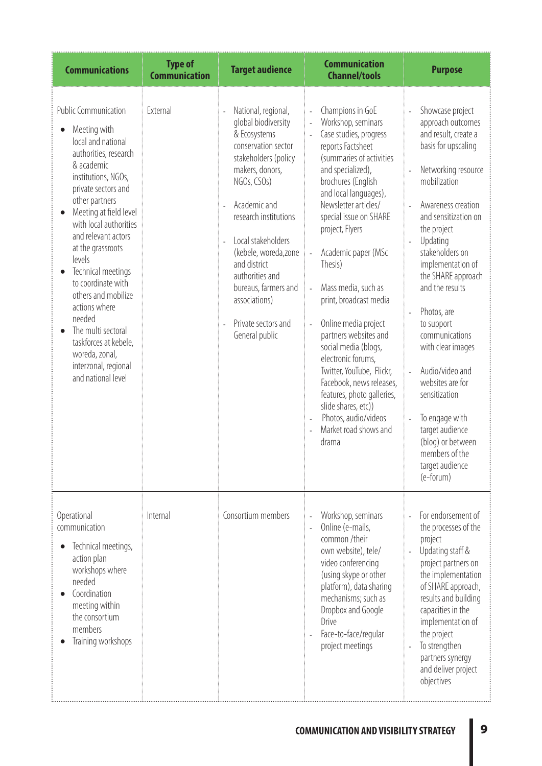| <b>Communications</b>                                                                                                                                                                                                                                                                                                                                                                                                                                                                                        | <b>Type of</b><br><b>Communication</b> | <b>Target audience</b>                                                                                                                                                                                                                                                                                                                                                                       | <b>Communication</b><br><b>Channel/tools</b>                                                                                                                                                                                                                                                                                                                                                                                                                                                                                                                                                                                                                                                   | <b>Purpose</b>                                                                                                                                                                                                                                                                                                                                                                                                                                                                                                                                |
|--------------------------------------------------------------------------------------------------------------------------------------------------------------------------------------------------------------------------------------------------------------------------------------------------------------------------------------------------------------------------------------------------------------------------------------------------------------------------------------------------------------|----------------------------------------|----------------------------------------------------------------------------------------------------------------------------------------------------------------------------------------------------------------------------------------------------------------------------------------------------------------------------------------------------------------------------------------------|------------------------------------------------------------------------------------------------------------------------------------------------------------------------------------------------------------------------------------------------------------------------------------------------------------------------------------------------------------------------------------------------------------------------------------------------------------------------------------------------------------------------------------------------------------------------------------------------------------------------------------------------------------------------------------------------|-----------------------------------------------------------------------------------------------------------------------------------------------------------------------------------------------------------------------------------------------------------------------------------------------------------------------------------------------------------------------------------------------------------------------------------------------------------------------------------------------------------------------------------------------|
| <b>Public Communication</b><br>Meeting with<br>local and national<br>authorities, research<br>& academic<br>institutions, NGOs,<br>private sectors and<br>other partners<br>Meeting at field level<br>with local authorities<br>and relevant actors<br>at the grassroots<br>levels<br>Technical meetings<br>to coordinate with<br>others and mobilize<br>actions where<br>needed<br>The multi sectoral<br>$\bullet$<br>taskforces at kebele,<br>woreda, zonal,<br>interzonal, regional<br>and national level | External                               | National, regional,<br>÷,<br>global biodiversity<br>& Ecosystems<br>conservation sector<br>stakeholders (policy<br>makers, donors,<br>NGOs, CSOs)<br>Academic and<br>L.<br>research institutions<br>Local stakeholders<br>$\overline{a}$<br>(kebele, woreda, zone<br>and district<br>authorities and<br>bureaus, farmers and<br>associations)<br>Private sectors and<br>÷,<br>General public | Champions in GoE<br>Workshop, seminars<br>Case studies, progress<br>$\overline{\phantom{a}}$<br>reports Factsheet<br>(summaries of activities<br>and specialized),<br>brochures (English<br>and local languages),<br>Newsletter articles/<br>special issue on SHARE<br>project, Flyers<br>Academic paper (MSc<br>$\overline{\phantom{a}}$<br>Thesis)<br>Mass media, such as<br>$\overline{a}$<br>print, broadcast media<br>Online media project<br>partners websites and<br>social media (blogs,<br>electronic forums,<br>Twitter, YouTube, Flickr,<br>Facebook, news releases,<br>features, photo galleries,<br>slide shares, etc))<br>Photos, audio/videos<br>Market road shows and<br>drama | Showcase project<br>approach outcomes<br>and result, create a<br>basis for upscaling<br>Networking resource<br>mobilization<br>Awareness creation<br>$\mathbf{r}$<br>and sensitization on<br>the project<br>Updating<br>stakeholders on<br>implementation of<br>the SHARE approach<br>and the results<br>Photos, are<br>to support<br>communications<br>with clear images<br>Audio/video and<br>websites are for<br>sensitization<br>To engage with<br>target audience<br>(blog) or between<br>members of the<br>target audience<br>(e-forum) |
| Operational<br>communication<br>Technical meetings,<br>action plan<br>workshops where<br>needed<br>Coordination<br>meeting within<br>the consortium<br>members<br>Training workshops                                                                                                                                                                                                                                                                                                                         | Internal                               | Consortium members                                                                                                                                                                                                                                                                                                                                                                           | Workshop, seminars<br>Online (e-mails,<br>common /their<br>own website), tele/<br>video conferencing<br>(using skype or other<br>platform), data sharing<br>mechanisms; such as<br>Dropbox and Google<br>Drive<br>Face-to-face/regular<br>project meetings                                                                                                                                                                                                                                                                                                                                                                                                                                     | For endorsement of<br>the processes of the<br>project<br>Updating staff &<br>project partners on<br>the implementation<br>of SHARE approach,<br>results and building<br>capacities in the<br>implementation of<br>the project<br>To strengthen<br>partners synergy<br>and deliver project<br>objectives                                                                                                                                                                                                                                       |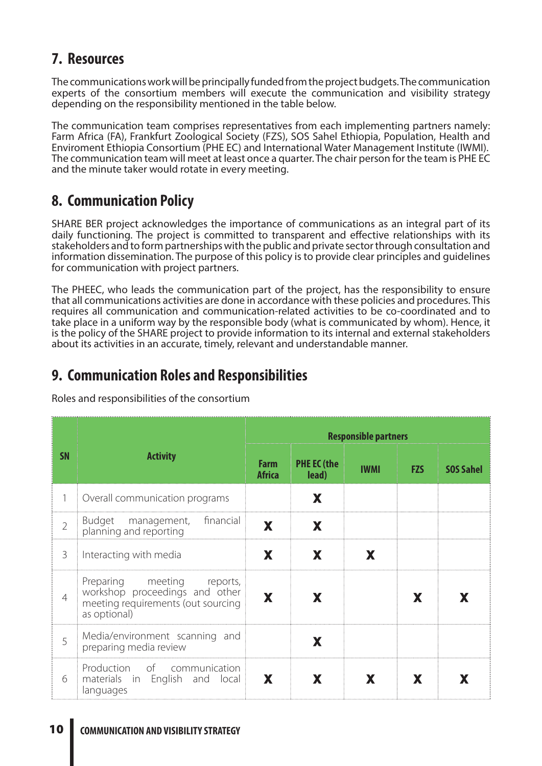# **7. Resources**

The communications work will be principally funded from the project budgets. The communication experts of the consortium members will execute the communication and visibility strategy depending on the responsibility mentioned in the table below.

The communication team comprises representatives from each implementing partners namely: Farm Africa (FA), Frankfurt Zoological Society (FZS), SOS Sahel Ethiopia, Population, Health and Enviroment Ethiopia Consortium (PHE EC) and International Water Management Institute (IWMI). The communication team will meet at least once a quarter. The chair person for the team is PHE EC and the minute taker would rotate in every meeting.

# **8. Communication Policy**

SHARE BER project acknowledges the importance of communications as an integral part of its daily functioning. The project is committed to transparent and effective relationships with its stakeholders and to form partnerships with the public and private sector through consultation and information dissemination. The purpose of this policy is to provide clear principles and guidelines for communication with project partners.

The PHEEC, who leads the communication part of the project, has the responsibility to ensure that all communications activities are done in accordance with these policies and procedures. This requires all communication and communication-related activities to be co-coordinated and to take place in a uniform way by the responsible body (what is communicated by whom). Hence, it is the policy of the SHARE project to provide information to its internal and external stakeholders about its activities in an accurate, timely, relevant and understandable manner.

## **9. Communication Roles and Responsibilities**

Roles and responsibilities of the consortium

|                | <b>Activity</b>                                                                                                       | <b>Responsible partners</b>  |                             |             |            |                  |
|----------------|-----------------------------------------------------------------------------------------------------------------------|------------------------------|-----------------------------|-------------|------------|------------------|
| <b>SN</b>      |                                                                                                                       | <b>Farm</b><br><b>Africa</b> | <b>PHE EC (the</b><br>lead) | <b>IWMI</b> | <b>FZS</b> | <b>SOS Sahel</b> |
| 1              | Overall communication programs                                                                                        |                              | X                           |             |            |                  |
| $\overline{2}$ | financial<br>Budget management,<br>planning and reporting                                                             | X                            | X                           |             |            |                  |
| 3              | Interacting with media                                                                                                | X                            | X                           | X           |            |                  |
| 4              | Preparing meeting<br>reports,<br>workshop proceedings and other<br>meeting requirements (out sourcing<br>as optional) | X                            | X                           |             | X          |                  |
| 5              | Media/environment scanning and<br>preparing media review                                                              |                              | X                           |             |            |                  |
| 6              | Production of communication<br>materials in English and local<br>languages                                            | X                            | X                           | X           | X.         |                  |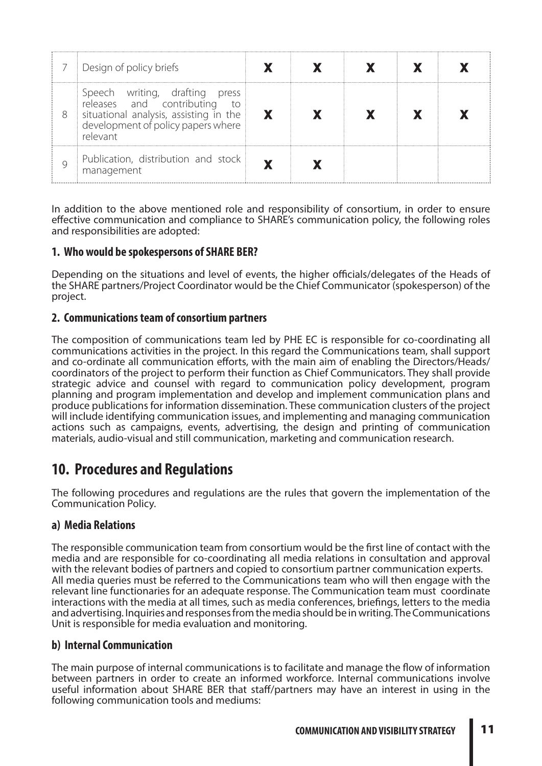|   | Design of policy briefs                                                                                                                                    |  |  |  |
|---|------------------------------------------------------------------------------------------------------------------------------------------------------------|--|--|--|
| 8 | Speech writing, drafting press<br>releases and contributing to<br>situational analysis, assisting in the<br>development of policy papers where<br>relevant |  |  |  |
|   | Publication, distribution and stock<br>management                                                                                                          |  |  |  |

In addition to the above mentioned role and responsibility of consortium, in order to ensure effective communication and compliance to SHARE's communication policy, the following roles and responsibilities are adopted:

#### **1. Who would be spokespersons of SHARE BER?**

Depending on the situations and level of events, the higher officials/delegates of the Heads of the SHARE partners/Project Coordinator would be the Chief Communicator (spokesperson) of the project.

#### **2. Communications team of consortium partners**

The composition of communications team led by PHE EC is responsible for co-coordinating all communications activities in the project. In this regard the Communications team, shall support and co-ordinate all communication efforts, with the main aim of enabling the Directors/Heads/ coordinators of the project to perform their function as Chief Communicators. They shall provide strategic advice and counsel with regard to communication policy development, program planning and program implementation and develop and implement communication plans and produce publications for information dissemination. These communication clusters of the project will include identifying communication issues, and implementing and managing communication actions such as campaigns, events, advertising, the design and printing of communication materials, audio-visual and still communication, marketing and communication research.

## **10. Procedures and Regulations**

The following procedures and regulations are the rules that govern the implementation of the Communication Policy.

#### **a) Media Relations**

The responsible communication team from consortium would be the first line of contact with the media and are responsible for co-coordinating all media relations in consultation and approval with the relevant bodies of partners and copied to consortium partner communication experts. All media queries must be referred to the Communications team who will then engage with the relevant line functionaries for an adequate response. The Communication team must coordinate interactions with the media at all times, such as media conferences, briefings, letters to the media and advertising. Inquiries and responses from the media should be in writing. The Communications Unit is responsible for media evaluation and monitoring.

#### **b) Internal Communication**

The main purpose of internal communications is to facilitate and manage the flow of information between partners in order to create an informed workforce. Internal communications involve useful information about SHARE BER that staff/partners may have an interest in using in the following communication tools and mediums: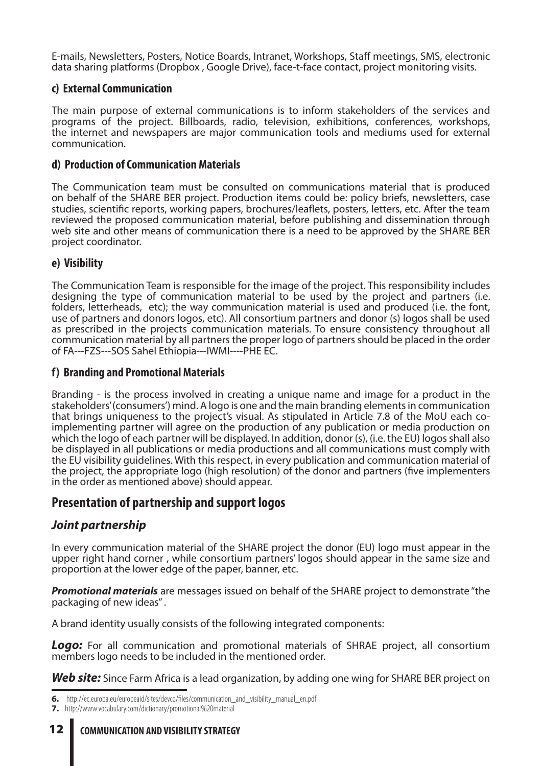E-mails, Newsletters, Posters, Notice Boards, Intranet, Workshops, Staff meetings, SMS, electronic data sharing platforms (Dropbox , Google Drive), face-t-face contact, project monitoring visits.

#### **c) External Communication**

The main purpose of external communications is to inform stakeholders of the services and programs of the project. Billboards, radio, television, exhibitions, conferences, workshops, the internet and newspapers are major communication tools and mediums used for external communication.

#### **d) Production of Communication Materials**

The Communication team must be consulted on communications material that is produced on behalf of the SHARE BER project. Production items could be: policy briefs, newsletters, case studies, scientific reports, working papers, brochures/leaflets, posters, letters, etc. After the team reviewed the proposed communication material, before publishing and dissemination through web site and other means of communication there is a need to be approved by the SHARE BER project coordinator.

#### **e) Visibility**

The Communication Team is responsible for the image of the project. This responsibility includes designing the type of communication material to be used by the project and partners (i.e. folders, letterheads, etc); the way communication material is used and produced (i.e. the font, use of partners and donors logos, etc). All consortium partners and donor (s) logos shall be used as prescribed in the projects communication materials. To ensure consistency throughout all communication material by all partners the proper logo of partners should be placed in the order of FA---FZS---SOS Sahel Ethiopia---IWMI----PHE EC.

#### **f) Branding and Promotional Materials**

Branding - is the process involved in creating a unique name and image for a product in the stakeholders' (consumers') mind. A logo is one and the main branding elements in communication that brings uniqueness to the project's visual. As stipulated in Article 7.8 of the MoU each coimplementing partner will agree on the production of any publication or media production on which the logo of each partner will be displayed. In addition, donor (s), (i.e. the EU) logos shall also be displayed in all publications or media productions and all communications must comply with the EU visibility guidelines. With this respect, in every publication and communication material of the project, the appropriate logo (high resolution) of the donor and partners (five implementers in the order as mentioned above) should appear.

## **Presentation of partnership and support logos**

### *Joint partnership*

In every communication material of the SHARE project the donor (EU) logo must appear in the upper right hand corner , while consortium partners' logos should appear in the same size and proportion at the lower edge of the paper, banner, etc.

*Promotional materials* are messages issued on behalf of the SHARE project to demonstrate "the packaging of new ideas" .

A brand identity usually consists of the following integrated components:

*Logo:* For all communication and promotional materials of SHRAE project, all consortium members logo needs to be included in the mentioned order.

**Web site:** Since Farm Africa is a lead organization, by adding one wing for SHARE BER project on

**<sup>6.</sup>** http://ec.europa.eu/europeaid/sites/devco/files/communication\_and\_visibility\_manual\_en.pdf

**<sup>7.</sup>** http://www.vocabulary.com/dictionary/promotional%20material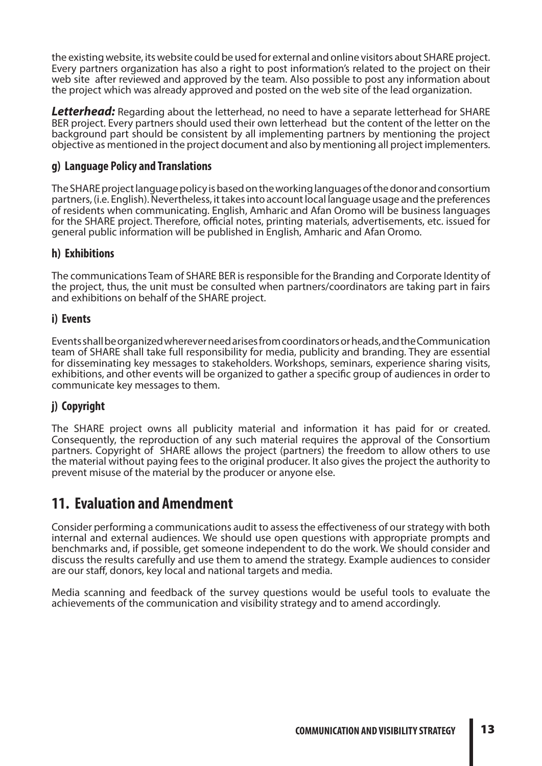the existing website, its website could be used for external and online visitors about SHARE project. Every partners organization has also a right to post information's related to the project on their web site after reviewed and approved by the team. Also possible to post any information about the project which was already approved and posted on the web site of the lead organization.

*Letterhead:* Regarding about the letterhead, no need to have a separate letterhead for SHARE BER project. Every partners should used their own letterhead but the content of the letter on the background part should be consistent by all implementing partners by mentioning the project objective as mentioned in the project document and also by mentioning all project implementers.

#### **g) Language Policy and Translations**

The SHARE project language policy is based on the working languages of the donor and consortium partners, (i.e. English). Nevertheless, it takes into account local language usage and the preferences of residents when communicating. English, Amharic and Afan Oromo will be business languages for the SHARE project. Therefore, official notes, printing materials, advertisements, etc. issued for general public information will be published in English, Amharic and Afan Oromo.

#### **h) Exhibitions**

The communications Team of SHARE BER is responsible for the Branding and Corporate Identity of the project, thus, the unit must be consulted when partners/coordinators are taking part in fairs and exhibitions on behalf of the SHARE project.

#### **i) Events**

Events shall be organized wherever need arises from coordinators or heads, and the Communication team of SHARE shall take full responsibility for media, publicity and branding. They are essential for disseminating key messages to stakeholders. Workshops, seminars, experience sharing visits, exhibitions, and other events will be organized to gather a specific group of audiences in order to communicate key messages to them.

### **j) Copyright**

The SHARE project owns all publicity material and information it has paid for or created. Consequently, the reproduction of any such material requires the approval of the Consortium partners. Copyright of SHARE allows the project (partners) the freedom to allow others to use the material without paying fees to the original producer. It also gives the project the authority to prevent misuse of the material by the producer or anyone else.

## **11. Evaluation and Amendment**

Consider performing a communications audit to assess the effectiveness of our strategy with both internal and external audiences. We should use open questions with appropriate prompts and benchmarks and, if possible, get someone independent to do the work. We should consider and discuss the results carefully and use them to amend the strategy. Example audiences to consider are our staff, donors, key local and national targets and media.

Media scanning and feedback of the survey questions would be useful tools to evaluate the achievements of the communication and visibility strategy and to amend accordingly.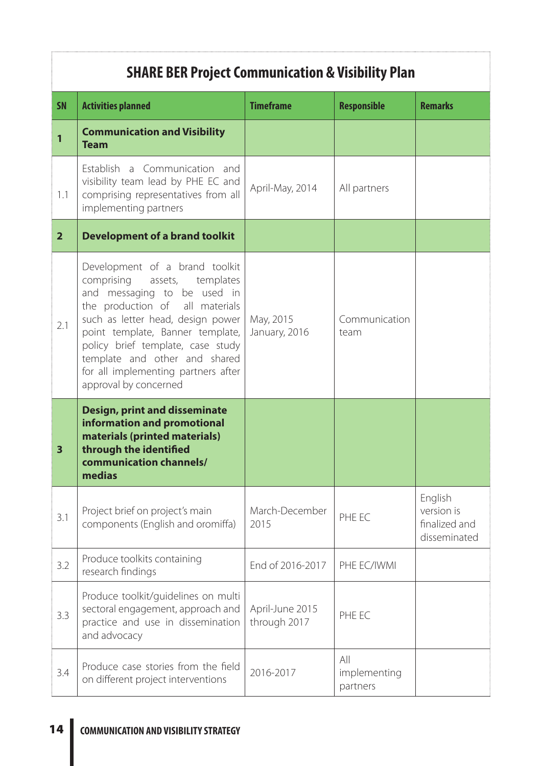# **SHARE BER Project Communication & Visibility Plan**

| <b>SN</b>               | <b>Activities planned</b>                                                                                                                                                                                                                                                                                                                       | <b>Timeframe</b>                | <b>Responsible</b>              | <b>Remarks</b>                                         |
|-------------------------|-------------------------------------------------------------------------------------------------------------------------------------------------------------------------------------------------------------------------------------------------------------------------------------------------------------------------------------------------|---------------------------------|---------------------------------|--------------------------------------------------------|
| 1                       | <b>Communication and Visibility</b><br><b>Team</b>                                                                                                                                                                                                                                                                                              |                                 |                                 |                                                        |
| 1.1                     | Establish a Communication and<br>visibility team lead by PHE EC and<br>comprising representatives from all<br>implementing partners                                                                                                                                                                                                             | April-May, 2014                 | All partners                    |                                                        |
| $\overline{2}$          | <b>Development of a brand toolkit</b>                                                                                                                                                                                                                                                                                                           |                                 |                                 |                                                        |
| 2.1                     | Development of a brand toolkit<br>comprising assets, templates<br>and messaging to be used in<br>the production of all materials<br>such as letter head, design power<br>point template, Banner template,<br>policy brief template, case study<br>template and other and shared<br>for all implementing partners after<br>approval by concerned | May, 2015<br>January, 2016      | Communication<br>team           |                                                        |
| $\overline{\mathbf{3}}$ | <b>Design, print and disseminate</b><br>information and promotional<br>materials (printed materials)<br>through the identified<br>communication channels/<br>medias                                                                                                                                                                             |                                 |                                 |                                                        |
| 3.1                     | Project brief on project's main<br>components (English and oromiffa)                                                                                                                                                                                                                                                                            | March-December<br>2015          | PHE EC                          | English<br>version is<br>finalized and<br>disseminated |
| 3.2                     | Produce toolkits containing<br>research findings                                                                                                                                                                                                                                                                                                | End of 2016-2017                | PHE EC/IWMI                     |                                                        |
| 3.3                     | Produce toolkit/guidelines on multi<br>sectoral engagement, approach and<br>practice and use in dissemination<br>and advocacy                                                                                                                                                                                                                   | April-June 2015<br>through 2017 | PHE EC                          |                                                        |
| 3.4                     | Produce case stories from the field<br>on different project interventions                                                                                                                                                                                                                                                                       | 2016-2017                       | All<br>implementing<br>partners |                                                        |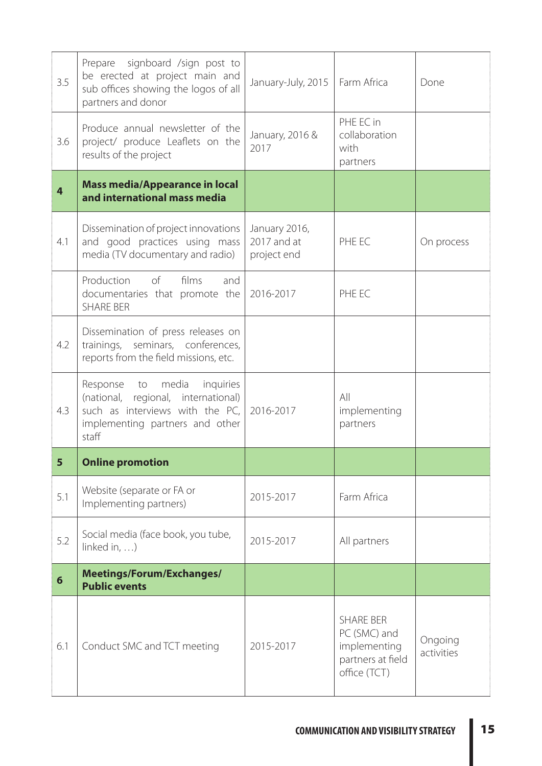| 3.5                     | signboard /sign post to<br>Prepare<br>be erected at project main and<br>sub offices showing the logos of all<br>partners and donor                         | January-July, 2015                          | Farm Africa                                                           | Done                  |
|-------------------------|------------------------------------------------------------------------------------------------------------------------------------------------------------|---------------------------------------------|-----------------------------------------------------------------------|-----------------------|
| 3.6                     | Produce annual newsletter of the<br>project/ produce Leaflets on the<br>results of the project                                                             | January, 2016 &<br>2017                     | PHE EC in<br>collaboration<br>with<br>partners                        |                       |
| $\overline{\mathbf{4}}$ | <b>Mass media/Appearance in local</b><br>and international mass media                                                                                      |                                             |                                                                       |                       |
| 4.1                     | Dissemination of project innovations<br>and good practices using mass<br>media (TV documentary and radio)                                                  | January 2016,<br>2017 and at<br>project end | PHE EC                                                                | On process            |
|                         | of<br>films<br>Production<br>and<br>documentaries that promote the<br><b>SHARE BER</b>                                                                     | 2016-2017                                   | PHE EC                                                                |                       |
| 4.2                     | Dissemination of press releases on<br>trainings, seminars, conferences,<br>reports from the field missions, etc.                                           |                                             |                                                                       |                       |
| 4.3                     | media<br>inquiries<br>Response<br>to<br>(national, regional, international)<br>such as interviews with the PC,<br>implementing partners and other<br>staff | 2016-2017                                   | All<br>implementing<br>partners                                       |                       |
| 5                       | <b>Online promotion</b>                                                                                                                                    |                                             |                                                                       |                       |
| 5.1                     | Website (separate or FA or<br>Implementing partners)                                                                                                       | 2015-2017                                   | Farm Africa                                                           |                       |
| 5.2                     | Social media (face book, you tube,<br>linked in, $\dots$ )                                                                                                 | 2015-2017                                   | All partners                                                          |                       |
| $6\phantom{1}$          | Meetings/Forum/Exchanges/<br><b>Public events</b>                                                                                                          |                                             |                                                                       |                       |
| 6.1                     | Conduct SMC and TCT meeting                                                                                                                                | 2015-2017                                   | <b>SHARE BER</b><br>PC (SMC) and<br>implementing<br>partners at field | Ongoing<br>activities |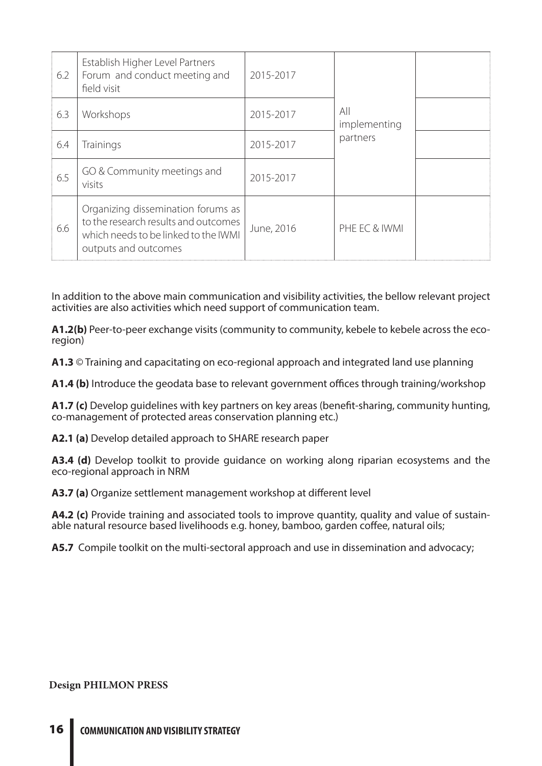| 6.2 | Establish Higher Level Partners<br>Forum and conduct meeting and<br>field visit                                                            | 2015-2017  | All<br>implementing<br>partners |  |
|-----|--------------------------------------------------------------------------------------------------------------------------------------------|------------|---------------------------------|--|
| 6.3 | Workshops                                                                                                                                  | 2015-2017  |                                 |  |
| 6.4 | <b>Trainings</b>                                                                                                                           | 2015-2017  |                                 |  |
| 6.5 | GO & Community meetings and<br>visits                                                                                                      | 2015-2017  |                                 |  |
| 6.6 | Organizing dissemination forums as<br>to the research results and outcomes<br>which needs to be linked to the IWMI<br>outputs and outcomes | June, 2016 | PHE EC & IWMI                   |  |

In addition to the above main communication and visibility activities, the bellow relevant project activities are also activities which need support of communication team.

**A1.2(b)** Peer-to-peer exchange visits (community to community, kebele to kebele across the ecoregion)

**A1.3** © Training and capacitating on eco-regional approach and integrated land use planning

**A1.4 (b)** Introduce the geodata base to relevant government offices through training/workshop

**A1.7 (c)** Develop guidelines with key partners on key areas (benefit-sharing, community hunting, co-management of protected areas conservation planning etc.)

**A2.1 (a)** Develop detailed approach to SHARE research paper

**A3.4 (d)** Develop toolkit to provide guidance on working along riparian ecosystems and the eco-regional approach in NRM

**A3.7 (a)** Organize settlement management workshop at different level

**A4.2 (c)** Provide training and associated tools to improve quantity, quality and value of sustain-<br>able natural resource based livelihoods e.g. honey, bamboo, garden coffee, natural oils;

**A5.7** Compile toolkit on the multi-sectoral approach and use in dissemination and advocacy;

#### **Design PHILMON PRESS**